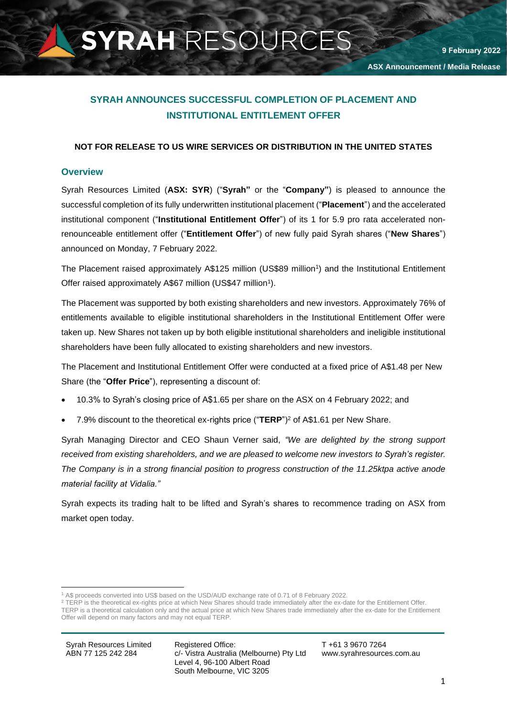# SYRAH RESOURCES

## **SYRAH ANNOUNCES SUCCESSFUL COMPLETION OF PLACEMENT AND INSTITUTIONAL ENTITLEMENT OFFER**

## **NOT FOR RELEASE TO US WIRE SERVICES OR DISTRIBUTION IN THE UNITED STATES**

## **Overview**

Syrah Resources Limited (**ASX: SYR**) ("**Syrah"** or the "**Company"**) is pleased to announce the successful completion of its fully underwritten institutional placement ("**Placement**") and the accelerated institutional component ("**Institutional Entitlement Offer**") of its 1 for 5.9 pro rata accelerated nonrenounceable entitlement offer ("**Entitlement Offer**") of new fully paid Syrah shares ("**New Shares**") announced on Monday, 7 February 2022.

<span id="page-0-0"></span>The Placement raised approximately A\$125 million (US\$89 million<sup>1</sup>) and the Institutional Entitlement Offer raised approximately A\$67 million (US\$47 million<sup>[1](#page-0-0)</sup>).

The Placement was supported by both existing shareholders and new investors. Approximately 76% of entitlements available to eligible institutional shareholders in the Institutional Entitlement Offer were taken up. New Shares not taken up by both eligible institutional shareholders and ineligible institutional shareholders have been fully allocated to existing shareholders and new investors.

The Placement and Institutional Entitlement Offer were conducted at a fixed price of A\$1.48 per New Share (the "**Offer Price**"), representing a discount of:

- 10.3% to Syrah's closing price of A\$1.65 per share on the ASX on 4 February 2022; and
- 7.9% discount to the theoretical ex-rights price ("**TERP**")<sup>2</sup> of A\$1.61 per New Share.

Syrah Managing Director and CEO Shaun Verner said, *"We are delighted by the strong support received from existing shareholders, and we are pleased to welcome new investors to Syrah's register. The Company is in a strong financial position to progress construction of the 11.25ktpa active anode material facility at Vidalia."* 

Syrah expects its trading halt to be lifted and Syrah's shares to recommence trading on ASX from market open today.

Syrah Resources Limited ABN 77 125 242 284

Registered Office: c/- Vistra Australia (Melbourne) Pty Ltd Level 4, 96-100 Albert Road South Melbourne, VIC 3205

T +61 3 9670 7264 www.syrahresources.com.au

<sup>1</sup> A\$ proceeds converted into US\$ based on the USD/AUD exchange rate of 0.71 of 8 February 2022.

<sup>&</sup>lt;sup>2</sup> TERP is the theoretical ex-rights price at which New Shares should trade immediately after the ex-date for the Entitlement Offer. TERP is a theoretical calculation only and the actual price at which New Shares trade immediately after the ex-date for the Entitlement Offer will depend on many factors and may not equal TERP.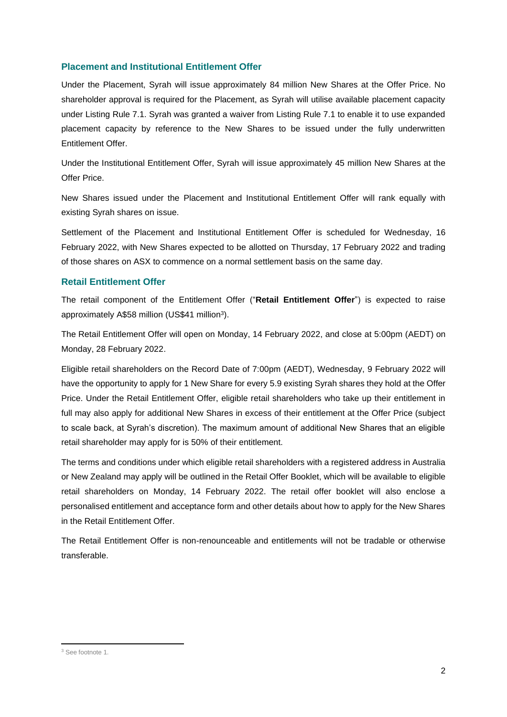### **Placement and Institutional Entitlement Offer**

Under the Placement, Syrah will issue approximately 84 million New Shares at the Offer Price. No shareholder approval is required for the Placement, as Syrah will utilise available placement capacity under Listing Rule 7.1. Syrah was granted a waiver from Listing Rule 7.1 to enable it to use expanded placement capacity by reference to the New Shares to be issued under the fully underwritten Entitlement Offer.

Under the Institutional Entitlement Offer, Syrah will issue approximately 45 million New Shares at the Offer Price.

New Shares issued under the Placement and Institutional Entitlement Offer will rank equally with existing Syrah shares on issue.

Settlement of the Placement and Institutional Entitlement Offer is scheduled for Wednesday, 16 February 2022, with New Shares expected to be allotted on Thursday, 17 February 2022 and trading of those shares on ASX to commence on a normal settlement basis on the same day.

## **Retail Entitlement Offer**

The retail component of the Entitlement Offer ("**Retail Entitlement Offer**") is expected to raise approximately A\$58 million (US\$41 million<sup>3</sup>).

The Retail Entitlement Offer will open on Monday, 14 February 2022, and close at 5:00pm (AEDT) on Monday, 28 February 2022.

Eligible retail shareholders on the Record Date of 7:00pm (AEDT), Wednesday, 9 February 2022 will have the opportunity to apply for 1 New Share for every 5.9 existing Syrah shares they hold at the Offer Price. Under the Retail Entitlement Offer, eligible retail shareholders who take up their entitlement in full may also apply for additional New Shares in excess of their entitlement at the Offer Price (subject to scale back, at Syrah's discretion). The maximum amount of additional New Shares that an eligible retail shareholder may apply for is 50% of their entitlement.

The terms and conditions under which eligible retail shareholders with a registered address in Australia or New Zealand may apply will be outlined in the Retail Offer Booklet, which will be available to eligible retail shareholders on Monday, 14 February 2022. The retail offer booklet will also enclose a personalised entitlement and acceptance form and other details about how to apply for the New Shares in the Retail Entitlement Offer.

The Retail Entitlement Offer is non-renounceable and entitlements will not be tradable or otherwise transferable.

<sup>3</sup> See footnote 1.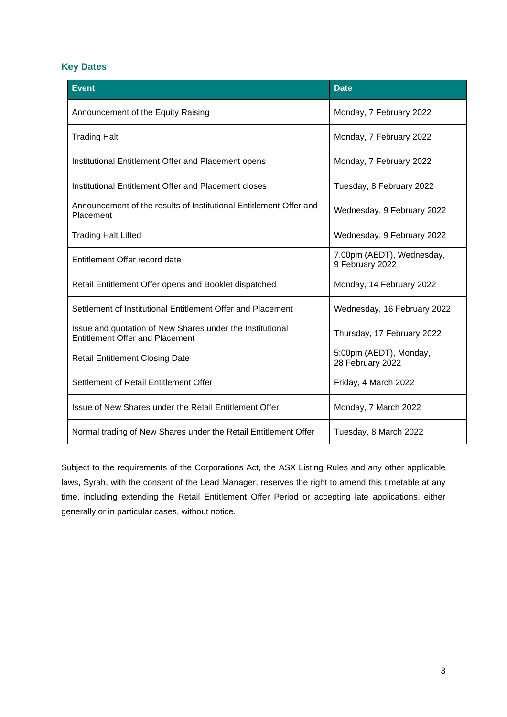## **Key Dates**

| <b>Event</b>                                                                                        | <b>Date</b>                                  |
|-----------------------------------------------------------------------------------------------------|----------------------------------------------|
| Announcement of the Equity Raising                                                                  | Monday, 7 February 2022                      |
| <b>Trading Halt</b>                                                                                 | Monday, 7 February 2022                      |
| Institutional Entitlement Offer and Placement opens                                                 | Monday, 7 February 2022                      |
| Institutional Entitlement Offer and Placement closes                                                | Tuesday, 8 February 2022                     |
| Announcement of the results of Institutional Entitlement Offer and<br>Placement                     | Wednesday, 9 February 2022                   |
| <b>Trading Halt Lifted</b>                                                                          | Wednesday, 9 February 2022                   |
| Entitlement Offer record date                                                                       | 7.00pm (AEDT), Wednesday,<br>9 February 2022 |
| Retail Entitlement Offer opens and Booklet dispatched                                               | Monday, 14 February 2022                     |
| Settlement of Institutional Entitlement Offer and Placement                                         | Wednesday, 16 February 2022                  |
| Issue and quotation of New Shares under the Institutional<br><b>Entitlement Offer and Placement</b> | Thursday, 17 February 2022                   |
| <b>Retail Entitlement Closing Date</b>                                                              | 5:00pm (AEDT), Monday,<br>28 February 2022   |
| Settlement of Retail Entitlement Offer                                                              | Friday, 4 March 2022                         |
| Issue of New Shares under the Retail Entitlement Offer                                              | Monday, 7 March 2022                         |
| Normal trading of New Shares under the Retail Entitlement Offer                                     | Tuesday, 8 March 2022                        |

Subject to the requirements of the Corporations Act, the ASX Listing Rules and any other applicable laws, Syrah, with the consent of the Lead Manager, reserves the right to amend this timetable at any time, including extending the Retail Entitlement Offer Period or accepting late applications, either generally or in particular cases, without notice.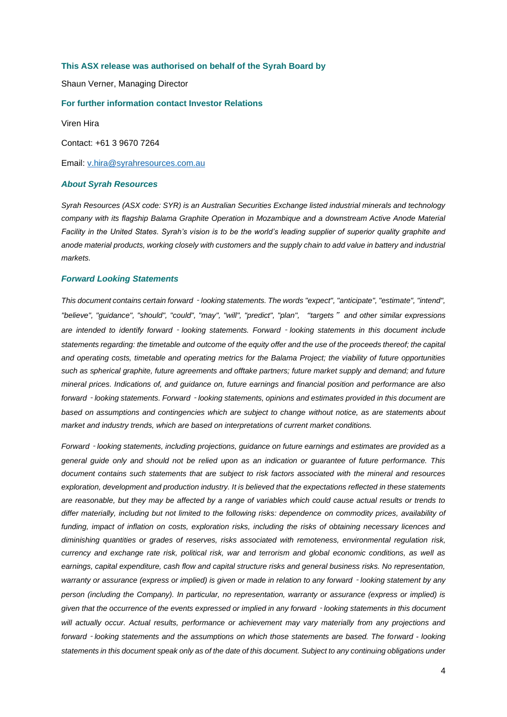#### **This ASX release was authorised on behalf of the Syrah Board by**

Shaun Verner, Managing Director

#### **For further information contact Investor Relations**

Viren Hira

Contact: +61 3 9670 7264

Email: [v.hira@syrahresources.com.au](mailto:v.hira@syrahresources.com.au)

#### *About Syrah Resources*

*Syrah Resources (ASX code: SYR) is an Australian Securities Exchange listed industrial minerals and technology company with its flagship Balama Graphite Operation in Mozambique and a downstream Active Anode Material Facility in the United States. Syrah's vision is to be the world's leading supplier of superior quality graphite and*  anode material products, working closely with customers and the supply chain to add value in battery and industrial *markets.*

#### *Forward Looking Statements*

*This document contains certain forward*‐*looking statements. The words "expect", "anticipate", "estimate", "intend", "believe", "guidance", "should", "could", "may", "will", "predict", "plan",* "*targets*" *and other similar expressions are intended to identify forward*‐*looking statements. Forward*‐*looking statements in this document include statements regarding: the timetable and outcome of the equity offer and the use of the proceeds thereof; the capital and operating costs, timetable and operating metrics for the Balama Project; the viability of future opportunities such as spherical graphite, future agreements and offtake partners; future market supply and demand; and future mineral prices. Indications of, and guidance on, future earnings and financial position and performance are also forward*‐*looking statements. Forward*‐*looking statements, opinions and estimates provided in this document are based on assumptions and contingencies which are subject to change without notice, as are statements about market and industry trends, which are based on interpretations of current market conditions.*

*Forward*‐*looking statements, including projections, guidance on future earnings and estimates are provided as a general guide only and should not be relied upon as an indication or guarantee of future performance. This document contains such statements that are subject to risk factors associated with the mineral and resources exploration, development and production industry. It is believed that the expectations reflected in these statements are reasonable, but they may be affected by a range of variables which could cause actual results or trends to differ materially, including but not limited to the following risks: dependence on commodity prices, availability of funding, impact of inflation on costs, exploration risks, including the risks of obtaining necessary licences and diminishing quantities or grades of reserves, risks associated with remoteness, environmental regulation risk, currency and exchange rate risk, political risk, war and terrorism and global economic conditions, as well as*  earnings, capital expenditure, cash flow and capital structure risks and general business risks. No representation, *warranty or assurance (express or implied) is given or made in relation to any forward*‐*looking statement by any person (including the Company). In particular, no representation, warranty or assurance (express or implied) is given that the occurrence of the events expressed or implied in any forward*‐*looking statements in this document will actually occur. Actual results, performance or achievement may vary materially from any projections and forward*‐*looking statements and the assumptions on which those statements are based. The forward - looking statements in this document speak only as of the date of this document. Subject to any continuing obligations under*